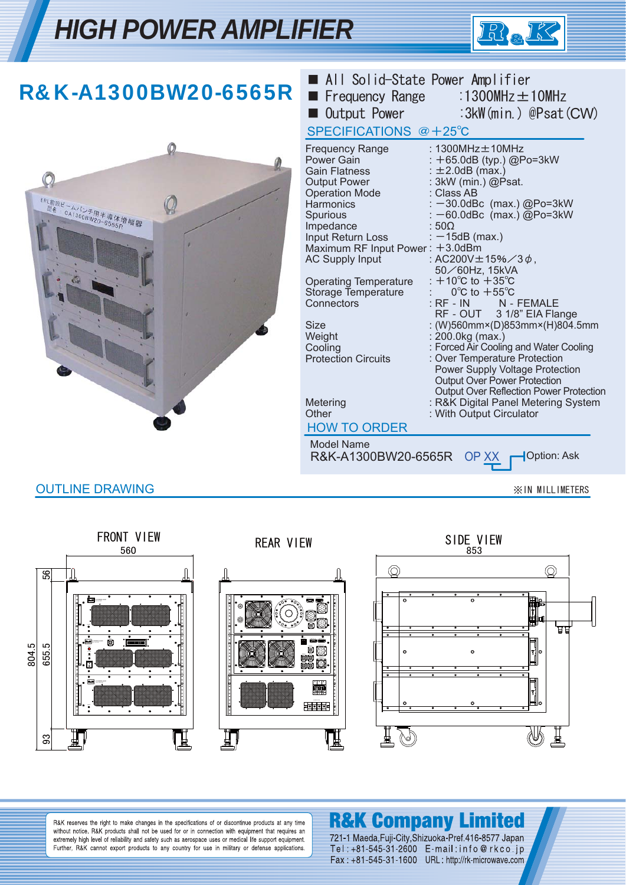## *HIGH POWER AMPLIFIER*



| R&K-A1300BW20-6565R                       | ■ All Solid-State Power Amplifier<br><b>Filte Frequency Range</b><br><b>Quantum</b> Output Power<br>SPECIFICATIONS @+25°C                                                                                                                                                                                                                                                                                                                                                  | :1300MHz $\pm$ 10MHz<br>:3kW(min.) @Psat(CW)                                                                                                                                                                                                                                                                                                                                                                                                                                                                                                                                                                                                                                                                                                                |
|-------------------------------------------|----------------------------------------------------------------------------------------------------------------------------------------------------------------------------------------------------------------------------------------------------------------------------------------------------------------------------------------------------------------------------------------------------------------------------------------------------------------------------|-------------------------------------------------------------------------------------------------------------------------------------------------------------------------------------------------------------------------------------------------------------------------------------------------------------------------------------------------------------------------------------------------------------------------------------------------------------------------------------------------------------------------------------------------------------------------------------------------------------------------------------------------------------------------------------------------------------------------------------------------------------|
| ERL前段ビームバンチ用半導体増幅器<br>型名 CA1300BW20-6565R | <b>Frequency Range</b><br>Power Gain<br><b>Gain Flatness</b><br><b>Output Power</b><br><b>Operation Mode</b><br><b>Harmonics</b><br>Spurious<br>Impedance<br>Input Return Loss<br>Maximum RF Input Power: +3.0dBm<br><b>AC Supply Input</b><br><b>Operating Temperature</b><br>Storage Temperature<br>Connectors<br><b>Size</b><br>Weight<br>Cooling<br><b>Protection Circuits</b><br>Metering<br>Other<br><b>HOW TO ORDER</b><br><b>Model Name</b><br>R&K-A1300BW20-6565R | : 1300MHz ± 10MHz<br>: +65.0dB (typ.) @Po=3kW<br>$\pm 2.0$ dB (max.)<br>: 3kW (min.) @Psat.<br>: Class AB<br>: -30.0dBc (max.) @Po=3kW<br>$: -60.0$ dBc (max.) @Po=3kW<br>$:50\Omega$<br>$: -15dB$ (max.)<br>: AC200V±15%/3 $\phi$ ,<br>50/60Hz, 15kVA<br>: $+10^{\circ}$ C to $+35^{\circ}$ C<br>$0^{\circ}$ C to $+55^{\circ}$ C<br>: RF - IN $\blacksquare$<br>N - FEMALE<br>RF - OUT 3 1/8" EIA Flange<br>: (W)560mm×(D)853mm×(H)804.5mm<br>: 200.0kg (max.)<br>: Forced Air Cooling and Water Cooling<br>: Over Temperature Protection<br>Power Supply Voltage Protection<br>Output Over Power Protection<br><b>Output Over Reflection Power Protection</b><br>: R&K Digital Panel Metering System<br>: With Output Circulator<br>Option: Ask<br>OP XX |
| <b>OUTLINE DRAWING</b>                    |                                                                                                                                                                                                                                                                                                                                                                                                                                                                            | <b>XIN MILLIMETERS</b>                                                                                                                                                                                                                                                                                                                                                                                                                                                                                                                                                                                                                                                                                                                                      |



#### **R&K Company Limited**

R&K reserves the right to make changes in the specifications of or discontinue products at any time without notice. R&K products shall not be used for or in connection with equipment that requires an extremely high level of reliability and safety such as aerospace uses or medical life support equipment.<br>Further, R&K cannot export products to any country for use in military or defense applications.

721-1 Maeda, Fuji-City, Shizuoka-Pref. 416-8577 Japan Tel: +81-545-31-2600 E-mail:info@rkco.jp Fax: +81-545-31-1600 URL: http://rk-microwave.com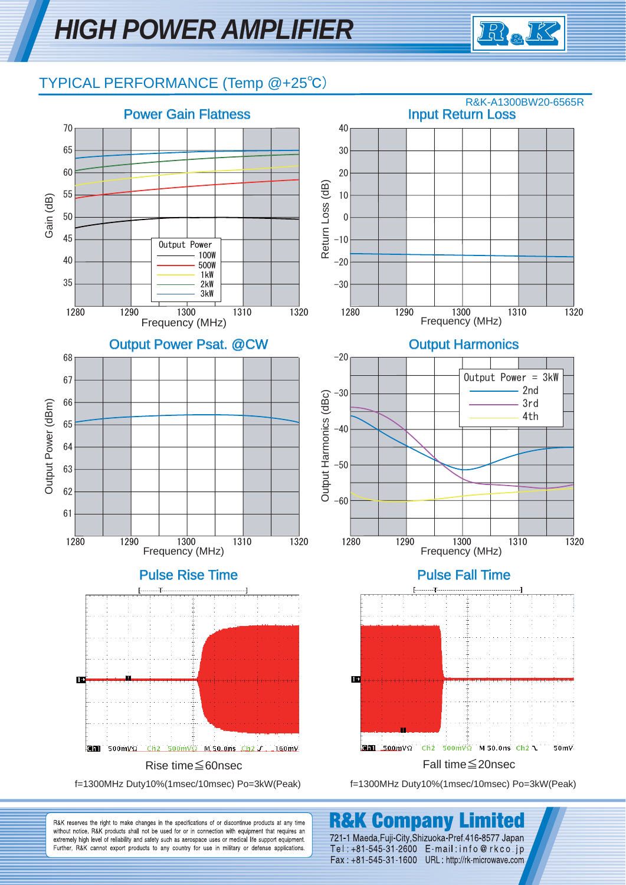# *HIGH POWER AMPLIFIER*



#### TYPICAL PERFORMANCE (Temp @+25℃)



**R&K Company** 

721-1 Maeda, Fuji-City, Shizuoka-Pref. 416-8577 Japan

Tel: +81-545-31-2600 E-mail: info@rkco.jp

Fax: +81-545-31-1600 URL: http://rk-microwave.com

सि

R&K reserves the right to make changes in the specifications of or discontinue products at any time without notice. R&K products shall not be used for or in connection with equipment that requires an extremely high level of reliability and safety such as aerospace uses or medical life support equipment. Further, R&K cannot export products to any country for use in military or defense applications.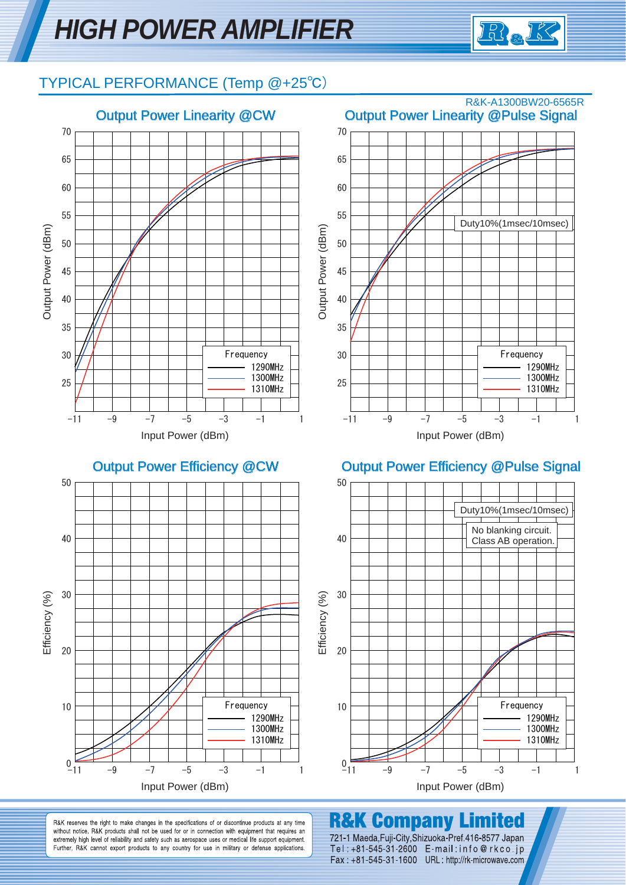

#### TYPICAL PERFORMANCE (Temp @+25℃)



R&K reserves the right to make changes in the specifications of or discontinue products at any time without notice. R&K products shall not be used for or in connection with equipment that requires an extremely high level of reliability and safety such as aerospace uses or medical life support equipment. Further, R&K cannot export products to any country for use in military or defense applications.

**R&K Company** 

721-1 Maeda, Fuji-City, Shizuoka-Pref. 416-8577 Japan

Tel: +81-545-31-2600 E-mail: info@rkco.jp

Fax: +81-545-31-1600 URL: http://rk-microwave.com

mited